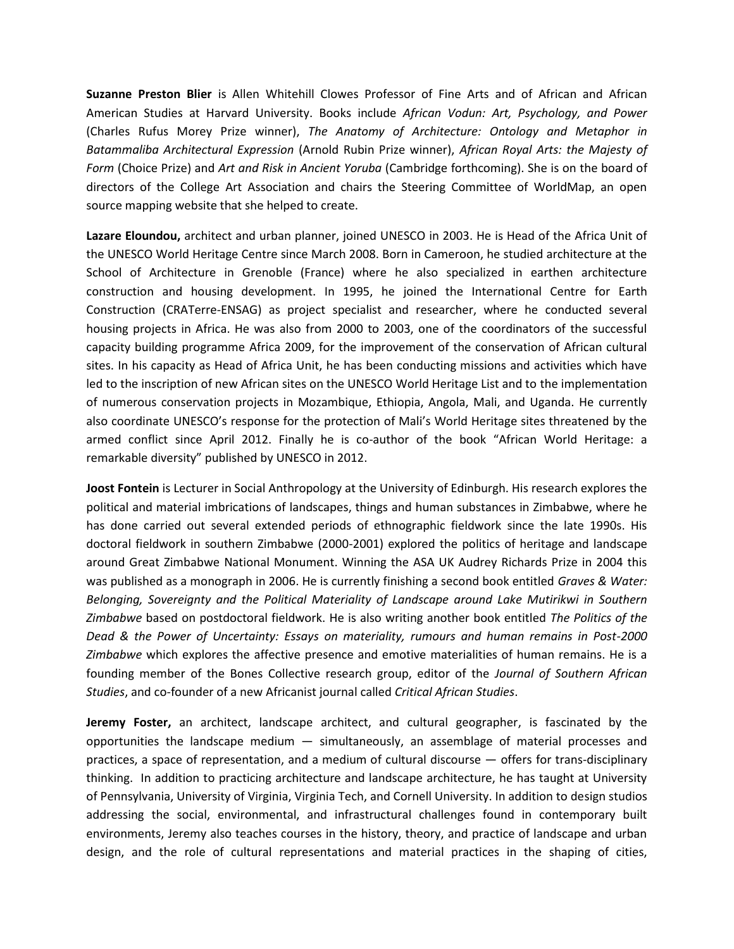**Suzanne Preston Blier** is Allen Whitehill Clowes Professor of Fine Arts and of African and African American Studies at Harvard University. Books include *African Vodun: Art, Psychology, and Power* (Charles Rufus Morey Prize winner), *The Anatomy of Architecture: Ontology and Metaphor in Batammaliba Architectural Expression* (Arnold Rubin Prize winner), *African Royal Arts: the Majesty of Form* (Choice Prize) and *Art and Risk in Ancient Yoruba* (Cambridge forthcoming). She is on the board of directors of the College Art Association and chairs the Steering Committee of WorldMap, an open source mapping website that she helped to create.

**Lazare Eloundou,** architect and urban planner, joined UNESCO in 2003. He is Head of the Africa Unit of the UNESCO World Heritage Centre since March 2008. Born in Cameroon, he studied architecture at the School of Architecture in Grenoble (France) where he also specialized in earthen architecture construction and housing development. In 1995, he joined the International Centre for Earth Construction (CRATerre-ENSAG) as project specialist and researcher, where he conducted several housing projects in Africa. He was also from 2000 to 2003, one of the coordinators of the successful capacity building programme Africa 2009, for the improvement of the conservation of African cultural sites. In his capacity as Head of Africa Unit, he has been conducting missions and activities which have led to the inscription of new African sites on the UNESCO World Heritage List and to the implementation of numerous conservation projects in Mozambique, Ethiopia, Angola, Mali, and Uganda. He currently also coordinate UNESCO's response for the protection of Mali's World Heritage sites threatened by the armed conflict since April 2012. Finally he is co-author of the book "African World Heritage: a remarkable diversity" published by UNESCO in 2012.

**Joost Fontein** is Lecturer in Social Anthropology at the University of Edinburgh. His research explores the political and material imbrications of landscapes, things and human substances in Zimbabwe, where he has done carried out several extended periods of ethnographic fieldwork since the late 1990s. His doctoral fieldwork in southern Zimbabwe (2000-2001) explored the politics of heritage and landscape around Great Zimbabwe National Monument. Winning the ASA UK Audrey Richards Prize in 2004 this was published as a monograph in 2006. He is currently finishing a second book entitled *Graves & Water: Belonging, Sovereignty and the Political Materiality of Landscape around Lake Mutirikwi in Southern Zimbabwe* based on postdoctoral fieldwork. He is also writing another book entitled *The Politics of the Dead & the Power of Uncertainty: Essays on materiality, rumours and human remains in Post-2000 Zimbabwe* which explores the affective presence and emotive materialities of human remains. He is a founding member of the Bones Collective research group, editor of the *Journal of Southern African Studies*, and co-founder of a new Africanist journal called *Critical African Studies*.

**Jeremy Foster,** an architect, landscape architect, and cultural geographer, is fascinated by the opportunities the landscape medium — simultaneously, an assemblage of material processes and practices, a space of representation, and a medium of cultural discourse — offers for trans-disciplinary thinking. In addition to practicing architecture and landscape architecture, he has taught at University of Pennsylvania, University of Virginia, Virginia Tech, and Cornell University. In addition to design studios addressing the social, environmental, and infrastructural challenges found in contemporary built environments, Jeremy also teaches courses in the history, theory, and practice of landscape and urban design, and the role of cultural representations and material practices in the shaping of cities,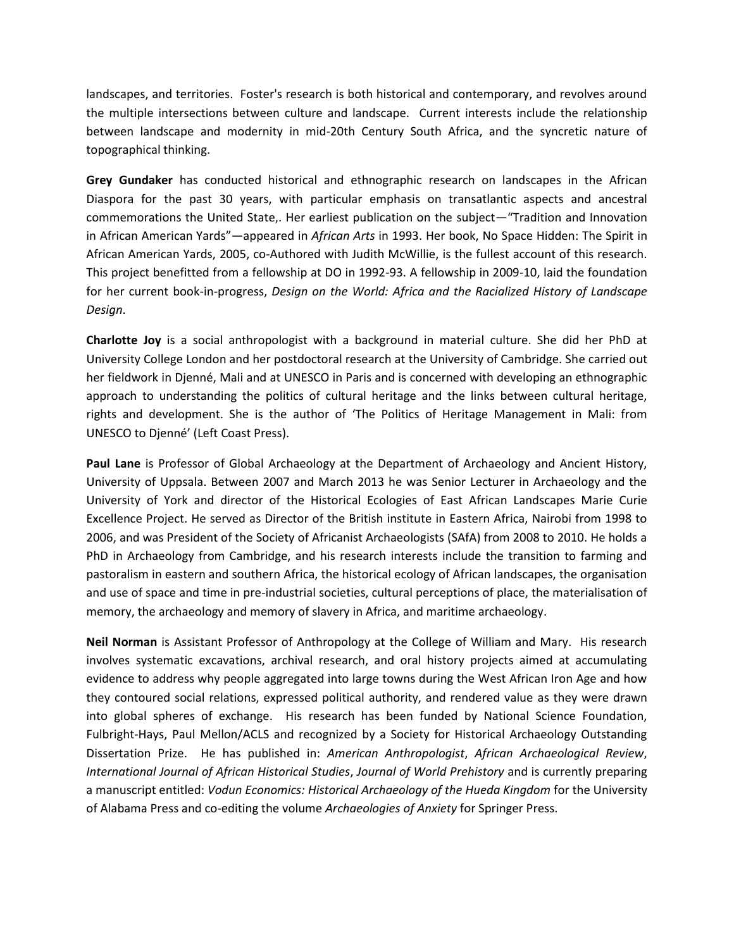landscapes, and territories. Foster's research is both historical and contemporary, and revolves around the multiple intersections between culture and landscape. Current interests include the relationship between landscape and modernity in mid-20th Century South Africa, and the syncretic nature of topographical thinking.

**Grey Gundaker** has conducted historical and ethnographic research on landscapes in the African Diaspora for the past 30 years, with particular emphasis on transatlantic aspects and ancestral commemorations the United State,. Her earliest publication on the subject—"Tradition and Innovation in African American Yards"—appeared in *African Arts* in 1993. Her book, No Space Hidden: The Spirit in African American Yards, 2005, co-Authored with Judith McWillie, is the fullest account of this research. This project benefitted from a fellowship at DO in 1992-93. A fellowship in 2009-10, laid the foundation for her current book-in-progress, *Design on the World: Africa and the Racialized History of Landscape Design*.

**Charlotte Joy** is a social anthropologist with a background in material culture. She did her PhD at University College London and her postdoctoral research at the University of Cambridge. She carried out her fieldwork in Djenné, Mali and at UNESCO in Paris and is concerned with developing an ethnographic approach to understanding the politics of cultural heritage and the links between cultural heritage, rights and development. She is the author of 'The Politics of Heritage Management in Mali: from UNESCO to Djenné' (Left Coast Press).

**Paul Lane** is Professor of Global Archaeology at the Department of Archaeology and Ancient History, University of Uppsala. Between 2007 and March 2013 he was Senior Lecturer in Archaeology and the University of York and director of the Historical Ecologies of East African Landscapes Marie Curie Excellence Project. He served as Director of the British institute in Eastern Africa, Nairobi from 1998 to 2006, and was President of the Society of Africanist Archaeologists (SAfA) from 2008 to 2010. He holds a PhD in Archaeology from Cambridge, and his research interests include the transition to farming and pastoralism in eastern and southern Africa, the historical ecology of African landscapes, the organisation and use of space and time in pre-industrial societies, cultural perceptions of place, the materialisation of memory, the archaeology and memory of slavery in Africa, and maritime archaeology.

**Neil Norman** is Assistant Professor of Anthropology at the College of William and Mary. His research involves systematic excavations, archival research, and oral history projects aimed at accumulating evidence to address why people aggregated into large towns during the West African Iron Age and how they contoured social relations, expressed political authority, and rendered value as they were drawn into global spheres of exchange. His research has been funded by National Science Foundation, Fulbright-Hays, Paul Mellon/ACLS and recognized by a Society for Historical Archaeology Outstanding Dissertation Prize. He has published in: *American Anthropologist*, *African Archaeological Review*, *International Journal of African Historical Studies*, *Journal of World Prehistory* and is currently preparing a manuscript entitled: *Vodun Economics: Historical Archaeology of the Hueda Kingdom* for the University of Alabama Press and co-editing the volume *Archaeologies of Anxiety* for Springer Press.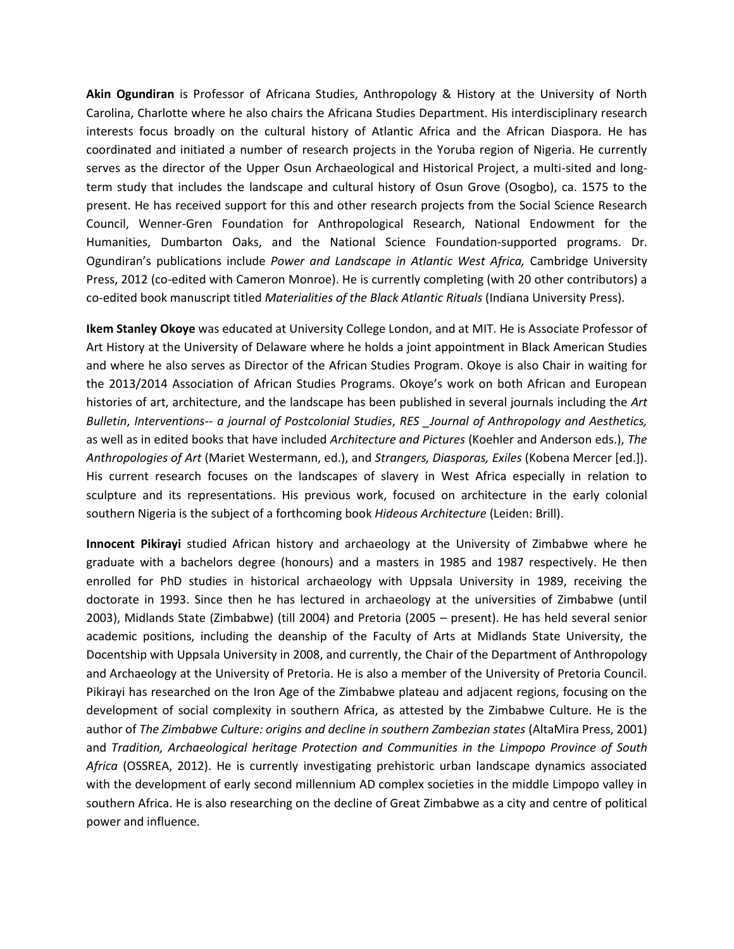**Akin Ogundiran** is Professor of Africana Studies, Anthropology & History at the University of North Carolina, Charlotte where he also chairs the Africana Studies Department. His interdisciplinary research interests focus broadly on the cultural history of Atlantic Africa and the African Diaspora. He has coordinated and initiated a number of research projects in the Yoruba region of Nigeria. He currently serves as the director of the Upper Osun Archaeological and Historical Project, a multi-sited and longterm study that includes the landscape and cultural history of Osun Grove (Osogbo), ca. 1575 to the present. He has received support for this and other research projects from the Social Science Research Council, Wenner-Gren Foundation for Anthropological Research, National Endowment for the Humanities, Dumbarton Oaks, and the National Science Foundation-supported programs. Dr. Ogundiran's publications include *Power and Landscape in Atlantic West Africa,* Cambridge University Press, 2012 (co-edited with Cameron Monroe). He is currently completing (with 20 other contributors) a co-edited book manuscript titled *Materialities of the Black Atlantic Rituals* (Indiana University Press).

**Ikem Stanley Okoye** was educated at University College London, and at MIT. He is Associate Professor of Art History at the University of Delaware where he holds a joint appointment in Black American Studies and where he also serves as Director of the African Studies Program. Okoye is also Chair in waiting for the 2013/2014 Association of African Studies Programs. Okoye's work on both African and European histories of art, architecture, and the landscape has been published in several journals including the *Art Bulletin*, *Interventions-- a journal of Postcolonial Studies*, *RES \_Journal of Anthropology and Aesthetics,*  as well as in edited books that have included *Architecture and Pictures* (Koehler and Anderson eds.), *The Anthropologies of Art* (Mariet Westermann, ed.), and *Strangers, Diasporas, Exiles* (Kobena Mercer [ed.]). His current research focuses on the landscapes of slavery in West Africa especially in relation to sculpture and its representations. His previous work, focused on architecture in the early colonial southern Nigeria is the subject of a forthcoming book *Hideous Architecture* (Leiden: Brill).

**Innocent Pikirayi** studied African history and archaeology at the University of Zimbabwe where he graduate with a bachelors degree (honours) and a masters in 1985 and 1987 respectively. He then enrolled for PhD studies in historical archaeology with Uppsala University in 1989, receiving the doctorate in 1993. Since then he has lectured in archaeology at the universities of Zimbabwe (until 2003), Midlands State (Zimbabwe) (till 2004) and Pretoria (2005 – present). He has held several senior academic positions, including the deanship of the Faculty of Arts at Midlands State University, the Docentship with Uppsala University in 2008, and currently, the Chair of the Department of Anthropology and Archaeology at the University of Pretoria. He is also a member of the University of Pretoria Council. Pikirayi has researched on the Iron Age of the Zimbabwe plateau and adjacent regions, focusing on the development of social complexity in southern Africa, as attested by the Zimbabwe Culture. He is the author of *The Zimbabwe Culture: origins and decline in southern Zambezian states* (AltaMira Press, 2001) and *Tradition, Archaeological heritage Protection and Communities in the Limpopo Province of South Africa* (OSSREA, 2012). He is currently investigating prehistoric urban landscape dynamics associated with the development of early second millennium AD complex societies in the middle Limpopo valley in southern Africa. He is also researching on the decline of Great Zimbabwe as a city and centre of political power and influence.